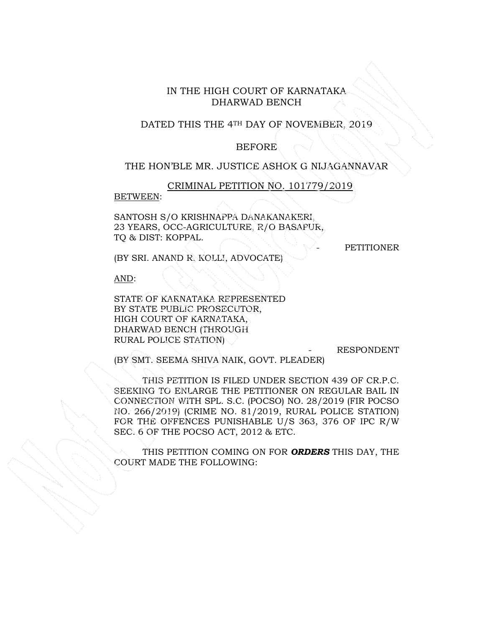# IN THE HIGH COURT OF KARNATAKA DHARWAD BENCH

#### DATED THIS THE 4TH DAY OF NOVEMBER, 2019

#### **BEFORE**

#### THE HON'BLE MR. JUSTICE ASHOK G NIJAGANNAVAR

CRIMINAL PETITION NO. 101779/2019

### BETWEEN:

SANTOSH S/O KRISHNAPPA DANAKANAKERI, 23 YEARS, OCC-AGRICULTURE, R/O BASAPUR, TQ & DIST: KOPPAL.

**PETITIONER** 

(BY SRI. ANAND R. KOLLI, ADVOCATE)

AND:

STATE OF KARNATAKA REPRESENTED BY STATE PUBLIC PROSECUTOR, HIGH COURT OF KARNATAKA, DHARWAD BENCH (THROUGH RURAL POLICE STATION)

- RESPONDENT

(BY SMT. SEEMA SHIVA NAIK, GOVT. PLEADER)

 THIS PETITION IS FILED UNDER SECTION 439 OF CR.P.C. SEEKING TO ENLARGE THE PETITIONER ON REGULAR BAIL IN CONNECTION WITH SPL. S.C. (POCSO) NO. 28/2019 (FIR POCSO NO. 266/2019) (CRIME NO. 81/2019, RURAL POLICE STATION) FOR THE OFFENCES PUNISHABLE U/S 363, 376 OF IPC R/W SEC. 6 OF THE POCSO ACT, 2012 & ETC.

THIS PETITION COMING ON FOR *ORDERS* THIS DAY, THE COURT MADE THE FOLLOWING: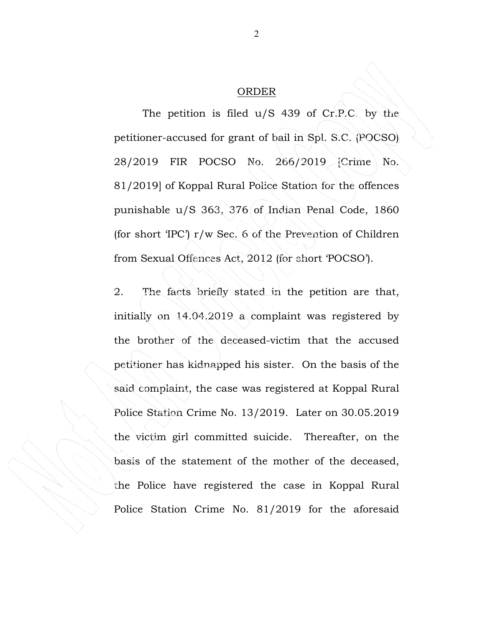## ORDER

The petition is filed u/S 439 of Cr.P.C. by the petitioner-accused for grant of bail in Spl. S.C. (POCSO) 28/2019 FIR POCSO No. 266/2019 [Crime No. 81/2019] of Koppal Rural Police Station for the offences punishable u/S 363, 376 of Indian Penal Code, 1860 (for short 'IPC') r/w Sec. 6 of the Prevention of Children from Sexual Offences Act, 2012 (for short 'POCSO').

2. The facts briefly stated in the petition are that, initially on 14.04.2019 a complaint was registered by the brother of the deceased-victim that the accused petitioner has kidnapped his sister. On the basis of the said complaint, the case was registered at Koppal Rural Police Station Crime No. 13/2019. Later on 30.05.2019 the victim girl committed suicide. Thereafter, on the basis of the statement of the mother of the deceased, the Police have registered the case in Koppal Rural Police Station Crime No. 81/2019 for the aforesaid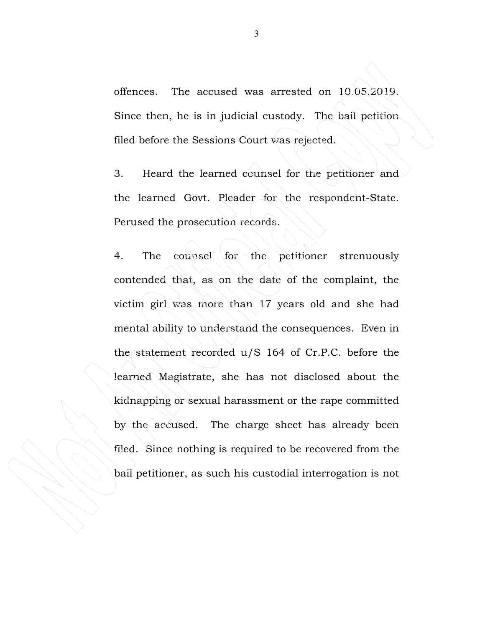offences. The accused was arrested on 10.05.2019. Since then, he is in judicial custody. The bail petition filed before the Sessions Court was rejected.

3. Heard the learned counsel for the petitioner and the learned Govt. Pleader for the respondent-State. Perused the prosecution records.

4. The counsel for the petitioner strenuously contended that, as on the date of the complaint, the victim girl was more than 17 years old and she had mental ability to understand the consequences. Even in the statement recorded u/S 164 of Cr.P.C. before the learned Magistrate, she has not disclosed about the kidnapping or sexual harassment or the rape committed by the accused. The charge sheet has already been filed. Since nothing is required to be recovered from the bail petitioner, as such his custodial interrogation is not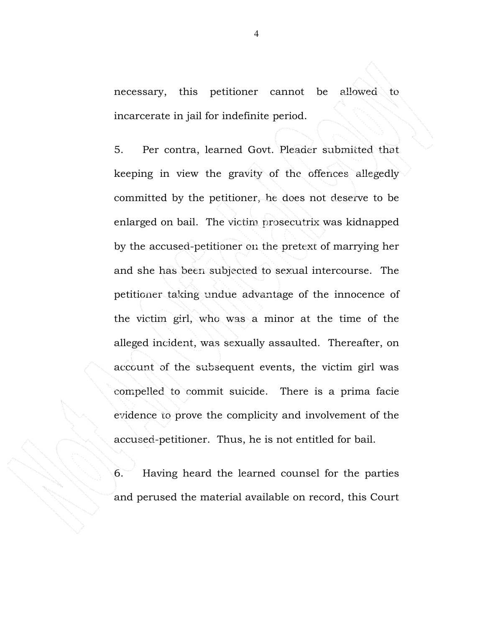necessary, this petitioner cannot be allowed to incarcerate in jail for indefinite period.

5. Per contra, learned Govt. Pleader submitted that keeping in view the gravity of the offences allegedly committed by the petitioner, he does not deserve to be enlarged on bail. The victim prosecutrix was kidnapped by the accused-petitioner on the pretext of marrying her and she has been subjected to sexual intercourse. The petitioner taking undue advantage of the innocence of the victim girl, who was a minor at the time of the alleged incident, was sexually assaulted. Thereafter, on account of the subsequent events, the victim girl was compelled to commit suicide. There is a prima facie evidence to prove the complicity and involvement of the accused-petitioner. Thus, he is not entitled for bail.

6. Having heard the learned counsel for the parties and perused the material available on record, this Court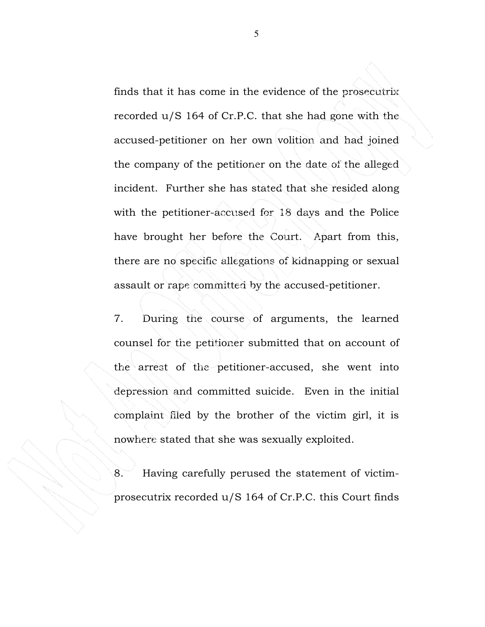finds that it has come in the evidence of the prosecutrix recorded u/S 164 of Cr.P.C. that she had gone with the accused-petitioner on her own volition and had joined the company of the petitioner on the date of the alleged incident. Further she has stated that she resided along with the petitioner-accused for 18 days and the Police have brought her before the Court. Apart from this, there are no specific allegations of kidnapping or sexual assault or rape committed by the accused-petitioner.

7. During the course of arguments, the learned counsel for the petitioner submitted that on account of the arrest of the petitioner-accused, she went into depression and committed suicide. Even in the initial complaint filed by the brother of the victim girl, it is nowhere stated that she was sexually exploited.

8. Having carefully perused the statement of victimprosecutrix recorded u/S 164 of Cr.P.C. this Court finds

5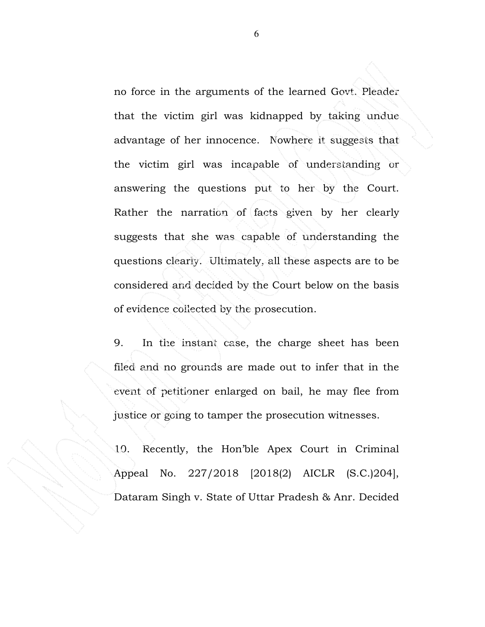no force in the arguments of the learned Govt. Pleader that the victim girl was kidnapped by taking undue advantage of her innocence. Nowhere it suggests that the victim girl was incapable of understanding or answering the questions put to her by the Court. Rather the narration of facts given by her clearly suggests that she was capable of understanding the questions clearly. Ultimately, all these aspects are to be considered and decided by the Court below on the basis of evidence collected by the prosecution.

9. In the instant case, the charge sheet has been filed and no grounds are made out to infer that in the event of petitioner enlarged on bail, he may flee from justice or going to tamper the prosecution witnesses.

10. Recently, the Hon'ble Apex Court in Criminal Appeal No. 227/2018 [2018(2) AICLR (S.C.)204], Dataram Singh v. State of Uttar Pradesh & Anr. Decided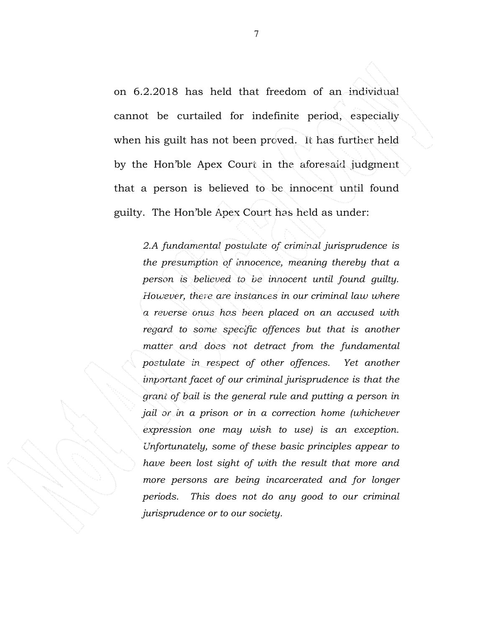on 6.2.2018 has held that freedom of an individual cannot be curtailed for indefinite period, especially when his guilt has not been proved. It has further held by the Hon'ble Apex Court in the aforesaid judgment that a person is believed to be innocent until found guilty. The Hon'ble Apex Court has held as under:

*2.A fundamental postulate of criminal jurisprudence is the presumption of innocence, meaning thereby that a person is believed to be innocent until found guilty. However, there are instances in our criminal law where a reverse onus has been placed on an accused with regard to some specific offences but that is another matter and does not detract from the fundamental postulate in respect of other offences. Yet another important facet of our criminal jurisprudence is that the grant of bail is the general rule and putting a person in jail or in a prison or in a correction home (whichever expression one may wish to use) is an exception. Unfortunately, some of these basic principles appear to have been lost sight of with the result that more and more persons are being incarcerated and for longer periods. This does not do any good to our criminal jurisprudence or to our society.*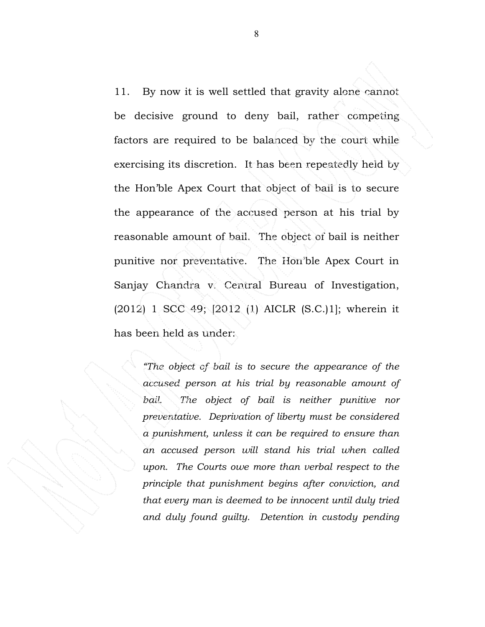11. By now it is well settled that gravity alone cannot be decisive ground to deny bail, rather competing factors are required to be balanced by the court while exercising its discretion. It has been repeatedly held by the Hon'ble Apex Court that object of bail is to secure the appearance of the accused person at his trial by reasonable amount of bail. The object of bail is neither punitive nor preventative. The Hon'ble Apex Court in Sanjay Chandra v. Central Bureau of Investigation, (2012) 1 SCC 49; [2012 (1) AICLR (S.C.)1]; wherein it has been held as under:

> *"The object of bail is to secure the appearance of the accused person at his trial by reasonable amount of* bail. The object of bail is neither punitive nor *preventative. Deprivation of liberty must be considered a punishment, unless it can be required to ensure than an accused person will stand his trial when called upon. The Courts owe more than verbal respect to the principle that punishment begins after conviction, and that every man is deemed to be innocent until duly tried and duly found guilty. Detention in custody pending*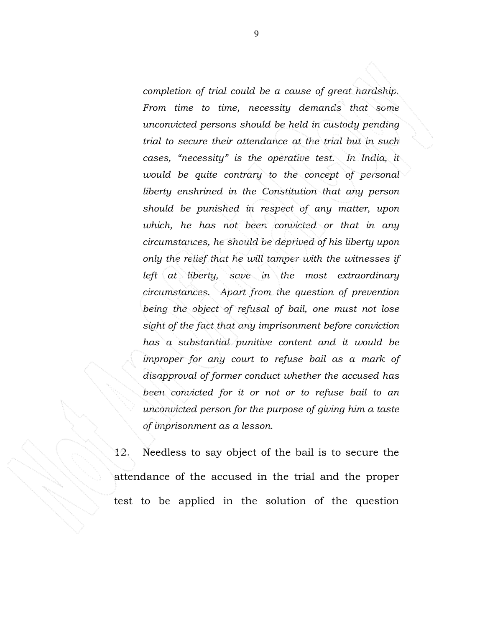*completion of trial could be a cause of great hardship. From time to time, necessity demands that some unconvicted persons should be held in custody pending trial to secure their attendance at the trial but in such cases, "necessity" is the operative test. In India, it would be quite contrary to the concept of personal liberty enshrined in the Constitution that any person should be punished in respect of any matter, upon which, he has not been convicted or that in any circumstances, he should be deprived of his liberty upon only the relief that he will tamper with the witnesses if left at liberty, save in the most extraordinary circumstances. Apart from the question of prevention being the object of refusal of bail, one must not lose sight of the fact that any imprisonment before conviction has a substantial punitive content and it would be improper for any court to refuse bail as a mark of disapproval of former conduct whether the accused has been convicted for it or not or to refuse bail to an unconvicted person for the purpose of giving him a taste of imprisonment as a lesson.* 

12. Needless to say object of the bail is to secure the attendance of the accused in the trial and the proper test to be applied in the solution of the question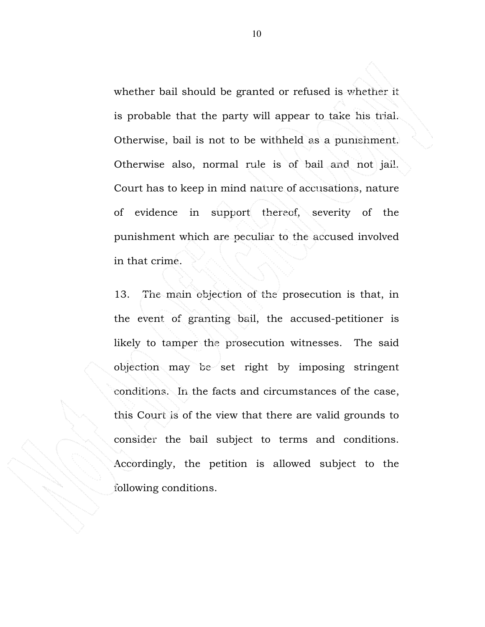whether bail should be granted or refused is whether it is probable that the party will appear to take his trial. Otherwise, bail is not to be withheld as a punishment. Otherwise also, normal rule is of bail and not jail. Court has to keep in mind nature of accusations, nature of evidence in support thereof, severity of the punishment which are peculiar to the accused involved in that crime.

13. The main objection of the prosecution is that, in the event of granting bail, the accused-petitioner is likely to tamper the prosecution witnesses. The said objection may be set right by imposing stringent conditions. In the facts and circumstances of the case, this Court is of the view that there are valid grounds to consider the bail subject to terms and conditions. Accordingly, the petition is allowed subject to the following conditions.